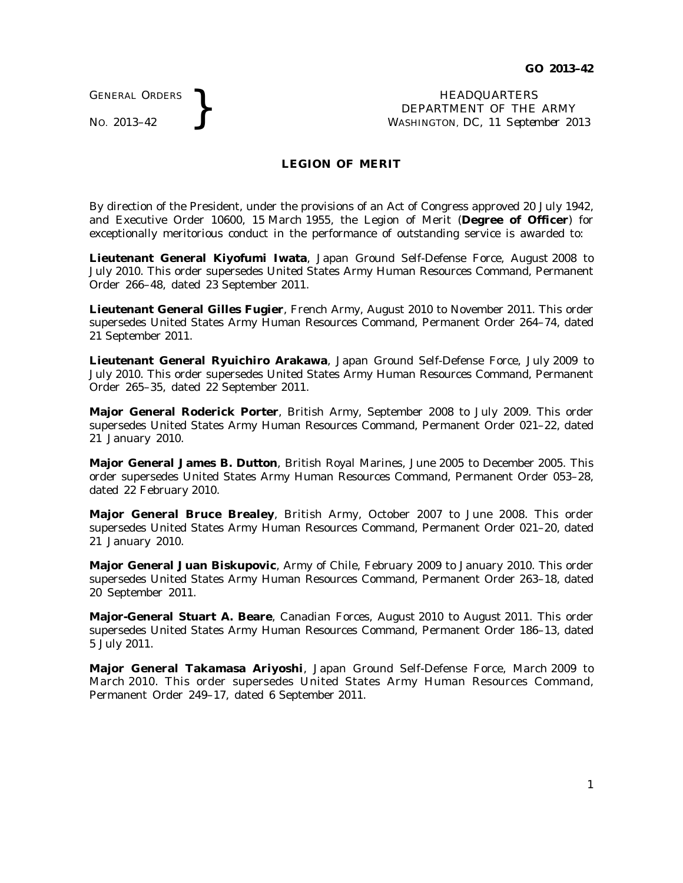GENERAL ORDERS

GENERAL ORDERS **REAL ORDERS** HEADQUARTERS **HEADQUARTERS HEADQUARTERS HEADQUARTERS DEPARTMENT** OF THE **WASHINGTON, DC,** 11 Septem DEPARTMENT OF THE ARMY WASHINGTON, DC, *11 September 2013*

## **LEGION OF MERIT**

By direction of the President, under the provisions of an Act of Congress approved 20 July 1942, and Executive Order 10600, 15 March 1955, the Legion of Merit (Degree of Officer) for exceptionally meritorious conduct in the performance of outstanding service is awarded to:

**Lieutenant General Kiyofumi Iwata**, Japan Ground Self-Defense Force, August 2008 to July 2010. This order supersedes United States Army Human Resources Command, Permanent Order 266–48, dated 23 September 2011.

**Lieutenant General Gilles Fugier**, French Army, August 2010 to November 2011. This order supersedes United States Army Human Resources Command, Permanent Order 264–74, dated 21 September 2011.

**Lieutenant General Ryuichiro Arakawa**, Japan Ground Self-Defense Force, July 2009 to July 2010. This order supersedes United States Army Human Resources Command, Permanent Order 265–35, dated 22 September 2011.

**Major General Roderick Porter**, British Army, September 2008 to July 2009. This order supersedes United States Army Human Resources Command, Permanent Order 021–22, dated 21 January 2010.

**Major General James B. Dutton**, British Royal Marines, June 2005 to December 2005. This order supersedes United States Army Human Resources Command, Permanent Order 053–28, dated 22 February 2010.

**Major General Bruce Brealey**, British Army, October 2007 to June 2008. This order supersedes United States Army Human Resources Command, Permanent Order 021–20, dated 21 January 2010.

**Major General Juan Biskupovic**, Army of Chile, February 2009 to January 2010. This order supersedes United States Army Human Resources Command, Permanent Order 263–18, dated 20 September 2011.

**Major-General Stuart A. Beare**, Canadian Forces, August 2010 to August 2011. This order supersedes United States Army Human Resources Command, Permanent Order 186–13, dated 5 July 2011.

**Major General Takamasa Ariyoshi**, Japan Ground Self-Defense Force, March 2009 to March 2010. This order supersedes United States Army Human Resources Command, Permanent Order 249–17, dated 6 September 2011.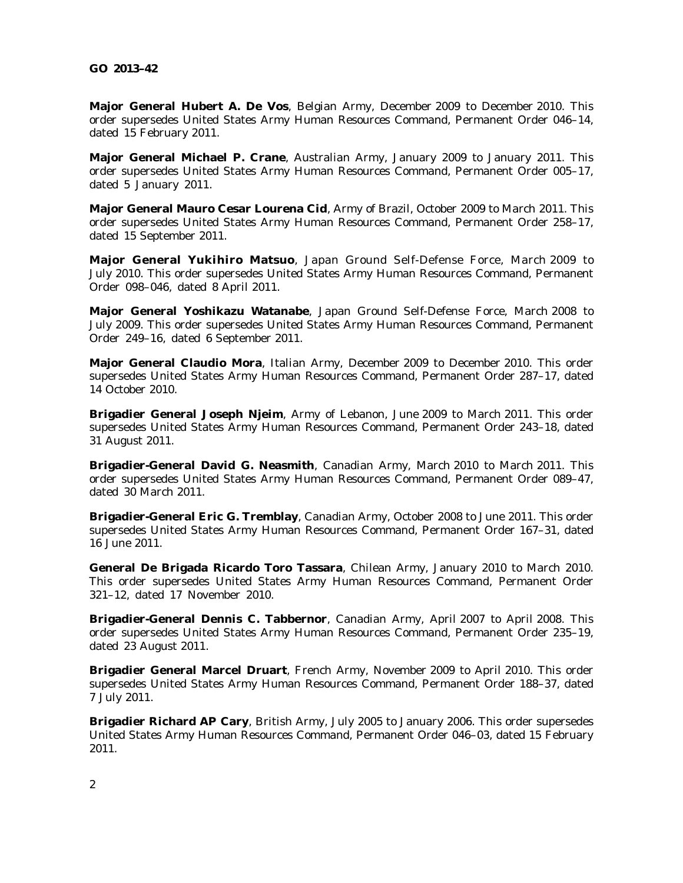**Major General Hubert A. De Vos**, Belgian Army, December 2009 to December 2010. This order supersedes United States Army Human Resources Command, Permanent Order 046–14, dated 15 February 2011.

**Major General Michael P. Crane**, Australian Army, January 2009 to January 2011. This order supersedes United States Army Human Resources Command, Permanent Order 005–17, dated 5 January 2011.

**Major General Mauro Cesar Lourena Cid**, Army of Brazil, October 2009 to March 2011. This order supersedes United States Army Human Resources Command, Permanent Order 258–17, dated 15 September 2011.

**Major General Yukihiro Matsuo**, Japan Ground Self-Defense Force, March 2009 to July 2010. This order supersedes United States Army Human Resources Command, Permanent Order 098–046, dated 8 April 2011.

**Major General Yoshikazu Watanabe**, Japan Ground Self-Defense Force, March 2008 to July 2009. This order supersedes United States Army Human Resources Command, Permanent Order 249–16, dated 6 September 2011.

**Major General Claudio Mora**, Italian Army, December 2009 to December 2010. This order supersedes United States Army Human Resources Command, Permanent Order 287–17, dated 14 October 2010.

**Brigadier General Joseph Njeim**, Army of Lebanon, June 2009 to March 2011. This order supersedes United States Army Human Resources Command, Permanent Order 243–18, dated 31 August 2011.

**Brigadier-General David G. Neasmith**, Canadian Army, March 2010 to March 2011. This order supersedes United States Army Human Resources Command, Permanent Order 089–47, dated 30 March 2011.

**Brigadier-General Eric G. Tremblay**, Canadian Army, October 2008 to June 2011. This order supersedes United States Army Human Resources Command, Permanent Order 167–31, dated 16 June 2011.

**General De Brigada Ricardo Toro Tassara**, Chilean Army, January 2010 to March 2010. This order supersedes United States Army Human Resources Command, Permanent Order 321–12, dated 17 November 2010.

**Brigadier-General Dennis C. Tabbernor**, Canadian Army, April 2007 to April 2008. This order supersedes United States Army Human Resources Command, Permanent Order 235–19, dated 23 August 2011.

**Brigadier General Marcel Druart**, French Army, November 2009 to April 2010. This order supersedes United States Army Human Resources Command, Permanent Order 188–37, dated 7 July 2011.

**Brigadier Richard AP Cary**, British Army, July 2005 to January 2006. This order supersedes United States Army Human Resources Command, Permanent Order 046–03, dated 15 February 2011.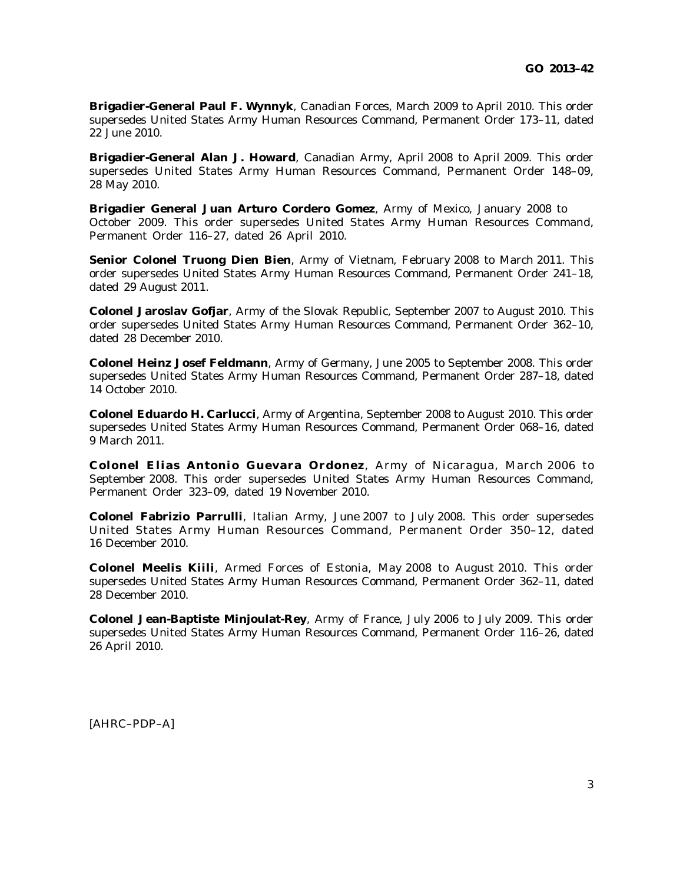**Brigadier-General Paul F. Wynnyk**, Canadian Forces, March 2009 to April 2010. This order supersedes United States Army Human Resources Command, Permanent Order 173–11, dated 22 June 2010.

**Brigadier-General Alan J. Howard**, Canadian Army, April 2008 to April 2009. This order supersedes United States Army Human Resources Command, Permanent Order 148-09, 28 May 2010.

**Brigadier General Juan Arturo Cordero Gomez**, Army of Mexico, January 2008 to October 2009. This order supersedes United States Army Human Resources Command, Permanent Order 116–27, dated 26 April 2010.

**Senior Colonel Truong Dien Bien**, Army of Vietnam, February 2008 to March 2011. This order supersedes United States Army Human Resources Command, Permanent Order 241–18, dated 29 August 2011.

**Colonel Jaroslav Gofjar**, Army of the Slovak Republic, September 2007 to August 2010. This order supersedes United States Army Human Resources Command, Permanent Order 362–10, dated 28 December 2010.

**Colonel Heinz Josef Feldmann**, Army of Germany, June 2005 to September 2008. This order supersedes United States Army Human Resources Command, Permanent Order 287–18, dated 14 October 2010.

**Colonel Eduardo H. Carlucci**, Army of Argentina, September 2008 to August 2010. This order supersedes United States Army Human Resources Command, Permanent Order 068–16, dated 9 March 2011.

**Colonel Elias Antonio Guevara Ordonez**, Army of Nicaragua, March 2006 to September 2008. This order supersedes United States Army Human Resources Command, Permanent Order 323–09, dated 19 November 2010.

**Colonel Fabrizio Parrulli**, Italian Army, June 2007 to July 2008. This order supersedes United States Army Human Resources Command, Permanent Order 350-12, dated 16 December 2010.

**Colonel Meelis Kiili**, Armed Forces of Estonia, May 2008 to August 2010. This order supersedes United States Army Human Resources Command, Permanent Order 362–11, dated 28 December 2010.

**Colonel Jean-Baptiste Minjoulat-Rey**, Army of France, July 2006 to July 2009. This order supersedes United States Army Human Resources Command, Permanent Order 116–26, dated 26 April 2010.

[AHRC–PDP–A]